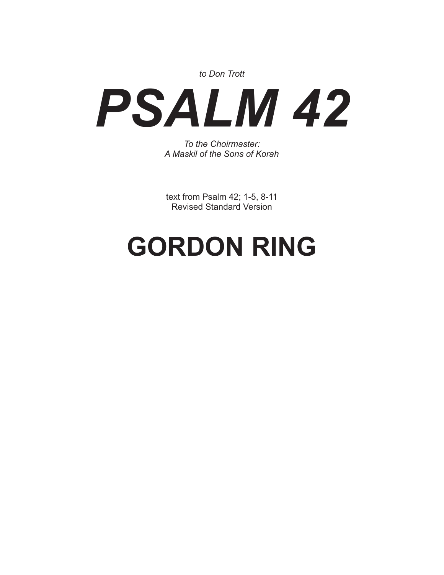*to Don Trott*

## *PSALM 42*

*To the Choirmaster: A Maskil of the Sons of Korah*

text from Psalm 42; 1-5, 8-11 Revised Standard Version

## **GORDON RING**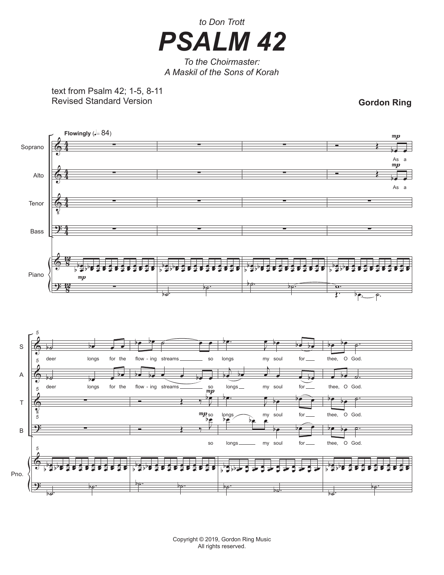

## *To the Choirmaster: A Maskil of the Sons of Korah*

text from Psalm 42; 1-5, 8-11 Revised Standard Version

**Gordon Ring**

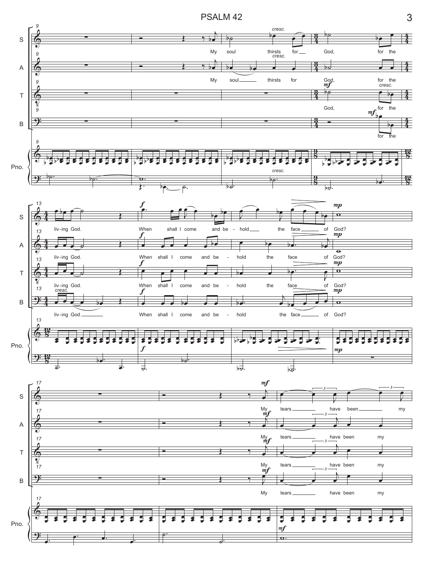PSALM 42 3

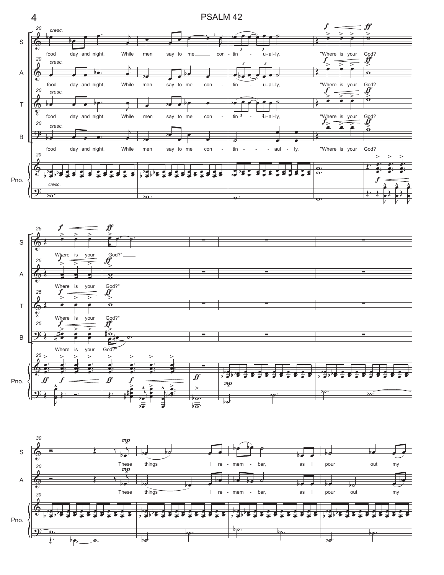



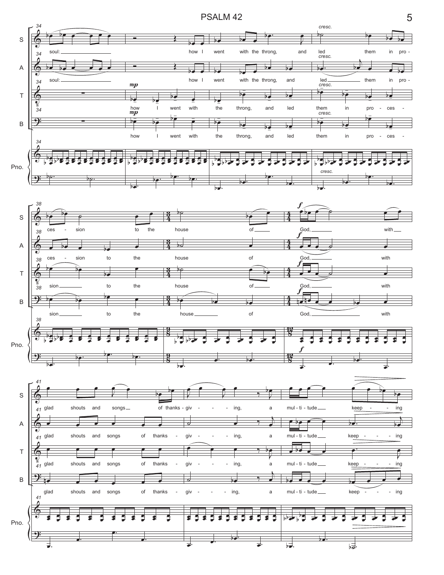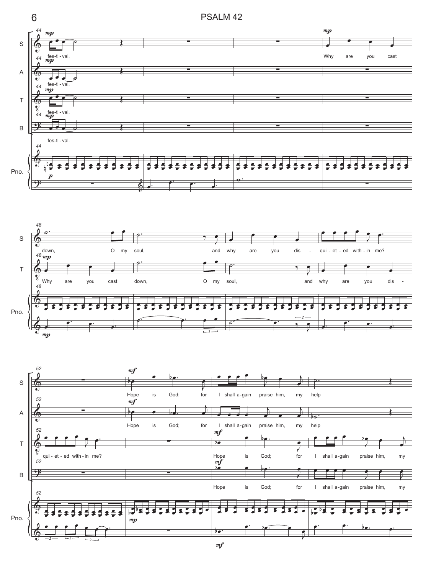



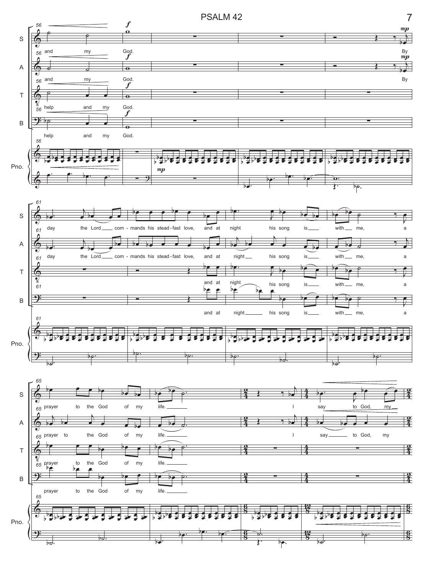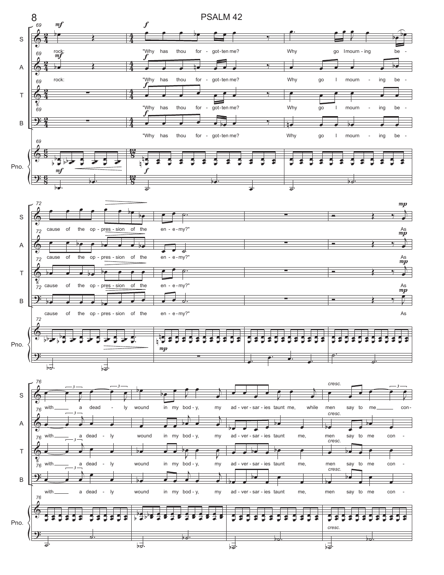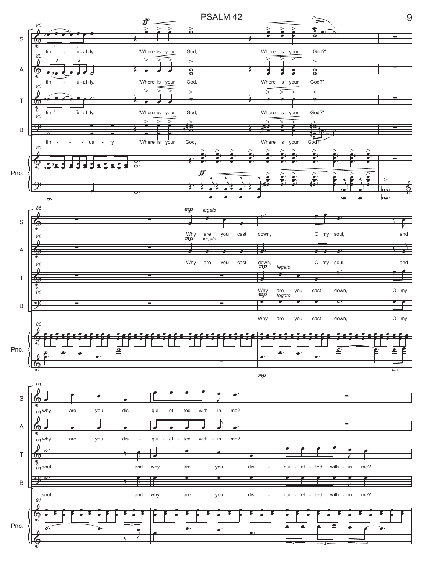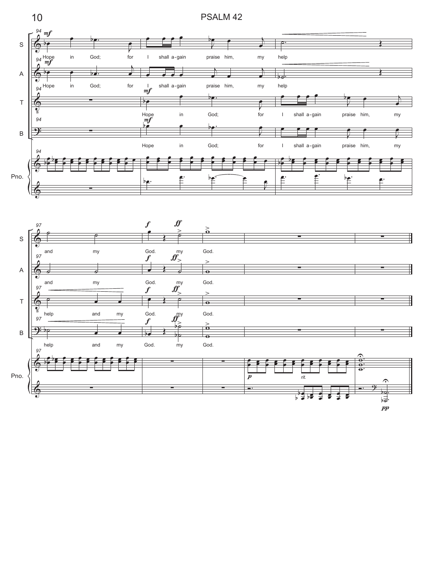